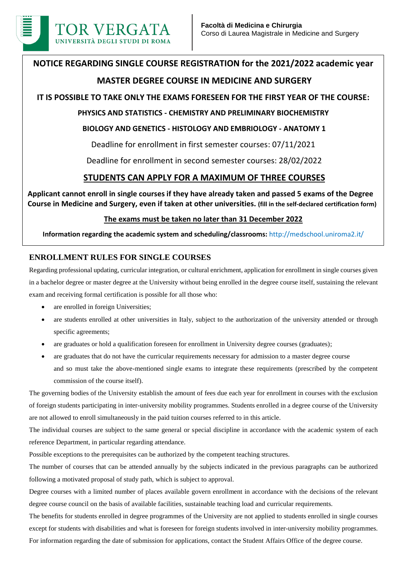

# **NOTICE REGARDING SINGLE COURSE REGISTRATION for the 2021/2022 academic year MASTER DEGREE COURSE IN MEDICINE AND SURGERY**

# **IT IS POSSIBLE TO TAKE ONLY THE EXAMS FORESEEN FOR THE FIRST YEAR OF THE COURSE:**

## **PHYSICS AND STATISTICS - CHEMISTRY AND PRELIMINARY BIOCHEMISTRY**

### **BIOLOGY AND GENETICS - HISTOLOGY AND EMBRIOLOGY - ANATOMY 1**

Deadline for enrollment in first semester courses: 07/11/2021

Deadline for enrollment in second semester courses: 28/02/2022

# **STUDENTS CAN APPLY FOR A MAXIMUM OF THREE COURSES**

**Applicant cannot enroll in single courses if they have already taken and passed 5 exams of the Degree Course in Medicine and Surgery, even if taken at other universities. (fill in the self-declared certification form)**

### **The exams must be taken no later than 31 December 2022**

**Information regarding the academic system and scheduling/classrooms:** http://medschool.uniroma2.it/

### **ENROLLMENT RULES FOR SINGLE COURSES**

Regarding professional updating, curricular integration, or cultural enrichment, application for enrollment in single courses given in a bachelor degree or master degree at the University without being enrolled in the degree course itself, sustaining the relevant exam and receiving formal certification is possible for all those who:

- are enrolled in foreign Universities;
- are students enrolled at other universities in Italy, subject to the authorization of the university attended or through specific agreements;
- are graduates or hold a qualification foreseen for enrollment in University degree courses (graduates);
- are graduates that do not have the curricular requirements necessary for admission to a master degree course and so must take the above-mentioned single exams to integrate these requirements (prescribed by the competent commission of the course itself).

The governing bodies of the University establish the amount of fees due each year for enrollment in courses with the exclusion of foreign students participating in inter-university mobility programmes. Students enrolled in a degree course of the University are not allowed to enroll simultaneously in the paid tuition courses referred to in this article.

The individual courses are subject to the same general or special discipline in accordance with the academic system of each reference Department, in particular regarding attendance.

Possible exceptions to the prerequisites can be authorized by the competent teaching structures.

The number of courses that can be attended annually by the subjects indicated in the previous paragraphs can be authorized following a motivated proposal of study path, which is subject to approval.

Degree courses with a limited number of places available govern enrollment in accordance with the decisions of the relevant degree course council on the basis of available facilities, sustainable teaching load and curricular requirements.

The benefits for students enrolled in degree programmes of the University are not applied to students enrolled in single courses except for students with disabilities and what is foreseen for foreign students involved in inter-university mobility programmes. For information regarding the date of submission for applications, contact the Student Affairs Office of the degree course.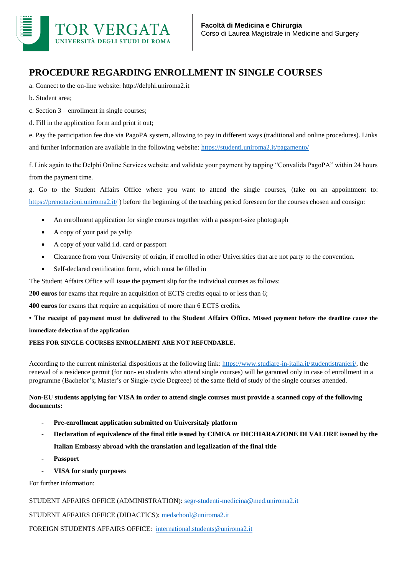

# **PROCEDURE REGARDING ENROLLMENT IN SINGLE COURSES**

- a. Connect to the on-line website: http://delphi.uniroma2.it
- b. Student area;
- c. Section 3 enrollment in single courses;
- d. Fill in the application form and print it out;

e. Pay the participation fee due via PagoPA system, allowing to pay in different ways (traditional and online procedures). Links and further information are available in the following website:<https://studenti.uniroma2.it/pagamento/>

f. Link again to the Delphi Online Services website and validate your payment by tapping "Convalida PagoPA" within 24 hours from the payment time.

g. Go to the Student Affairs Office where you want to attend the single courses, (take on an appointment to: <https://prenotazioni.uniroma2.it/>) before the beginning of the teaching period foreseen for the courses chosen and consign:

- An enrollment application for single courses together with a passport-size photograph
- A copy of your paid pa yslip
- A copy of your valid i.d. card or passport
- Clearance from your University of origin, if enrolled in other Universities that are not party to the convention.
- Self-declared certification form, which must be filled in

The Student Affairs Office will issue the payment slip for the individual courses as follows:

**200 euros** for exams that require an acquisition of ECTS credits equal to or less than 6;

**400 euros** for exams that require an acquisition of more than 6 ECTS credits.

**• The receipt of payment must be delivered to the Student Affairs Office. Missed payment before the deadline cause the immediate delection of the application**

#### **FEES FOR SINGLE COURSES ENROLLMENT ARE NOT REFUNDABLE.**

According to the current ministerial dispositions at the following link: [https://www.studiare-in-italia.it/studentistranieri/,](https://www.studiare-in-italia.it/studentistranieri/) the renewal of a residence permit (for non- eu students who attend single courses) will be garanted only in case of enrollment in a programme (Bachelor's; Master's or Single-cycle Degreee) of the same field of study of the single courses attended.

#### **Non-EU students applying for VISA in order to attend single courses must provide a scanned copy of the following documents:**

- **Pre-enrollment application submitted on Universitaly platform**
- **Declaration of equivalence of the final title issued by CIMEA or DICHIARAZIONE DI VALORE issued by the Italian Embassy abroad with the translation and legalization of the final title**
- **Passport**
- **VISA for study purposes**

For further information:

STUDENT AFFAIRS OFFICE (ADMINISTRATION): [segr-studenti-medicina@med.uniroma2.it](mailto:segr-studenti-medicina@med.uniroma2.it)

STUDENT AFFAIRS OFFICE (DIDACTICS): [medschool@uniroma2.it](mailto:medschool@uniroma2.it)

FOREIGN STUDENTS AFFAIRS OFFICE: [international.students@uniroma2.it](mailto:international.students@uniroma2.it)